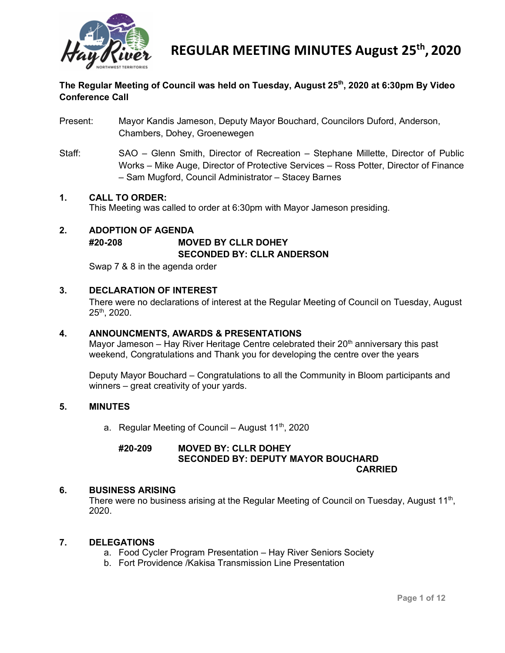

## **The Regular Meeting of Council was held on Tuesday, August 25th, 2020 at 6:30pm By Video Conference Call**

- Present: Mayor Kandis Jameson, Deputy Mayor Bouchard, Councilors Duford, Anderson, Chambers, Dohey, Groenewegen
- Staff: SAO Glenn Smith, Director of Recreation Stephane Millette, Director of Public Works – Mike Auge, Director of Protective Services – Ross Potter, Director of Finance – Sam Mugford, Council Administrator – Stacey Barnes

#### **1. CALL TO ORDER:**

This Meeting was called to order at 6:30pm with Mayor Jameson presiding.

## **2. ADOPTION OF AGENDA #20-208 MOVED BY CLLR DOHEY SECONDED BY: CLLR ANDERSON**

Swap 7 & 8 in the agenda order

### **3. DECLARATION OF INTEREST**

There were no declarations of interest at the Regular Meeting of Council on Tuesday, August 25th, 2020.

#### **4. ANNOUNCMENTS, AWARDS & PRESENTATIONS**

Mayor Jameson – Hay River Heritage Centre celebrated their  $20<sup>th</sup>$  anniversary this past weekend, Congratulations and Thank you for developing the centre over the years

Deputy Mayor Bouchard – Congratulations to all the Community in Bloom participants and winners – great creativity of your yards.

#### **5. MINUTES**

a. Regular Meeting of Council – August  $11^{th}$ , 2020

#### **#20-209 MOVED BY: CLLR DOHEY SECONDED BY: DEPUTY MAYOR BOUCHARD CARRIED**

#### **6. BUSINESS ARISING**

There were no business arising at the Regular Meeting of Council on Tuesday, August  $11<sup>th</sup>$ , 2020.

#### **7. DELEGATIONS**

- a. Food Cycler Program Presentation Hay River Seniors Society
- b. Fort Providence /Kakisa Transmission Line Presentation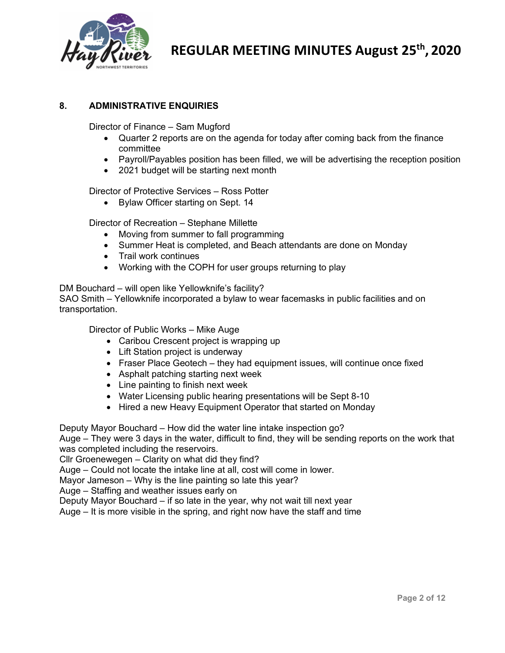

## **8. ADMINISTRATIVE ENQUIRIES**

Director of Finance – Sam Mugford

- Quarter 2 reports are on the agenda for today after coming back from the finance committee
- Payroll/Payables position has been filled, we will be advertising the reception position
- 2021 budget will be starting next month

Director of Protective Services – Ross Potter

• Bylaw Officer starting on Sept. 14

Director of Recreation – Stephane Millette

- Moving from summer to fall programming
- Summer Heat is completed, and Beach attendants are done on Monday
- Trail work continues
- Working with the COPH for user groups returning to play

DM Bouchard – will open like Yellowknife's facility?

SAO Smith – Yellowknife incorporated a bylaw to wear facemasks in public facilities and on transportation.

Director of Public Works – Mike Auge

- Caribou Crescent project is wrapping up
- Lift Station project is underway
- Fraser Place Geotech they had equipment issues, will continue once fixed
- Asphalt patching starting next week
- Line painting to finish next week
- Water Licensing public hearing presentations will be Sept 8-10
- Hired a new Heavy Equipment Operator that started on Monday

Deputy Mayor Bouchard – How did the water line intake inspection go?

Auge – They were 3 days in the water, difficult to find, they will be sending reports on the work that was completed including the reservoirs.

Cllr Groenewegen – Clarity on what did they find?

Auge – Could not locate the intake line at all, cost will come in lower.

Mayor Jameson – Why is the line painting so late this year?

Auge – Staffing and weather issues early on

Deputy Mayor Bouchard – if so late in the year, why not wait till next year

Auge – It is more visible in the spring, and right now have the staff and time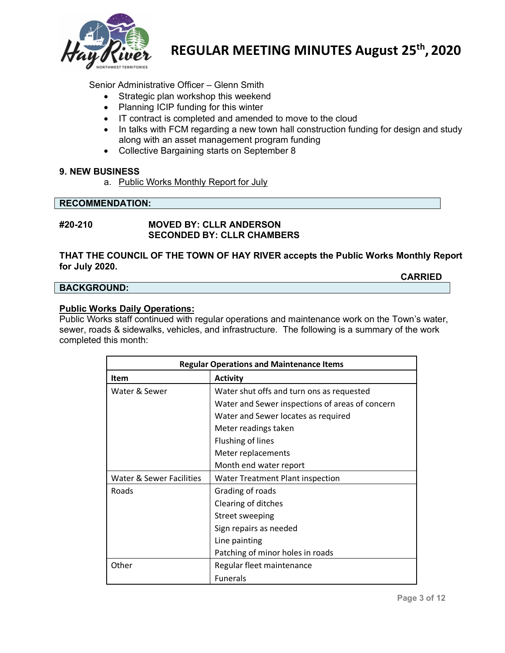

Senior Administrative Officer – Glenn Smith

- Strategic plan workshop this weekend
- Planning ICIP funding for this winter
- IT contract is completed and amended to move to the cloud
- In talks with FCM regarding a new town hall construction funding for design and study along with an asset management program funding
- Collective Bargaining starts on September 8

#### **9. NEW BUSINESS**

a. Public Works Monthly Report for July

#### **RECOMMENDATION:**

### **#20-210 MOVED BY: CLLR ANDERSON SECONDED BY: CLLR CHAMBERS**

#### **THAT THE COUNCIL OF THE TOWN OF HAY RIVER accepts the Public Works Monthly Report for July 2020.**

#### **BACKGROUND:**

#### **Public Works Daily Operations:**

Public Works staff continued with regular operations and maintenance work on the Town's water, sewer, roads & sidewalks, vehicles, and infrastructure. The following is a summary of the work completed this month:

| <b>Regular Operations and Maintenance Items</b> |                                                 |  |  |  |
|-------------------------------------------------|-------------------------------------------------|--|--|--|
| Item                                            | <b>Activity</b>                                 |  |  |  |
| Water & Sewer                                   | Water shut offs and turn ons as requested       |  |  |  |
|                                                 | Water and Sewer inspections of areas of concern |  |  |  |
|                                                 | Water and Sewer locates as required             |  |  |  |
|                                                 | Meter readings taken                            |  |  |  |
|                                                 | Flushing of lines                               |  |  |  |
|                                                 | Meter replacements                              |  |  |  |
|                                                 | Month end water report                          |  |  |  |
| Water & Sewer Facilities                        | <b>Water Treatment Plant inspection</b>         |  |  |  |
| Roads                                           | Grading of roads                                |  |  |  |
|                                                 | Clearing of ditches                             |  |  |  |
|                                                 | Street sweeping                                 |  |  |  |
|                                                 | Sign repairs as needed                          |  |  |  |
|                                                 | Line painting                                   |  |  |  |
|                                                 | Patching of minor holes in roads                |  |  |  |
| Other                                           | Regular fleet maintenance                       |  |  |  |
|                                                 | <b>Funerals</b>                                 |  |  |  |

**CARRIED**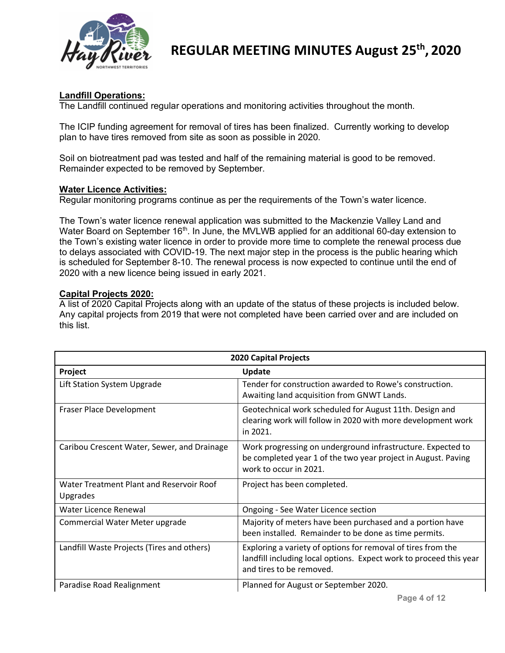

## **Landfill Operations:**

The Landfill continued regular operations and monitoring activities throughout the month.

The ICIP funding agreement for removal of tires has been finalized. Currently working to develop plan to have tires removed from site as soon as possible in 2020.

Soil on biotreatment pad was tested and half of the remaining material is good to be removed. Remainder expected to be removed by September.

### **Water Licence Activities:**

Regular monitoring programs continue as per the requirements of the Town's water licence.

The Town's water licence renewal application was submitted to the Mackenzie Valley Land and Water Board on September 16<sup>th</sup>. In June, the MVLWB applied for an additional 60-day extension to the Town's existing water licence in order to provide more time to complete the renewal process due to delays associated with COVID-19. The next major step in the process is the public hearing which is scheduled for September 8-10. The renewal process is now expected to continue until the end of 2020 with a new licence being issued in early 2021.

## **Capital Projects 2020:**

A list of 2020 Capital Projects along with an update of the status of these projects is included below. Any capital projects from 2019 that were not completed have been carried over and are included on this list.

| <b>2020 Capital Projects</b>                         |                                                                                                                                                                |  |  |  |
|------------------------------------------------------|----------------------------------------------------------------------------------------------------------------------------------------------------------------|--|--|--|
| Project                                              | <b>Update</b>                                                                                                                                                  |  |  |  |
| Lift Station System Upgrade                          | Tender for construction awarded to Rowe's construction.<br>Awaiting land acquisition from GNWT Lands.                                                          |  |  |  |
| Fraser Place Development                             | Geotechnical work scheduled for August 11th. Design and<br>clearing work will follow in 2020 with more development work<br>in 2021.                            |  |  |  |
| Caribou Crescent Water, Sewer, and Drainage          | Work progressing on underground infrastructure. Expected to<br>be completed year 1 of the two year project in August. Paving<br>work to occur in 2021.         |  |  |  |
| Water Treatment Plant and Reservoir Roof<br>Upgrades | Project has been completed.                                                                                                                                    |  |  |  |
| Water Licence Renewal                                | Ongoing - See Water Licence section                                                                                                                            |  |  |  |
| Commercial Water Meter upgrade                       | Majority of meters have been purchased and a portion have<br>been installed. Remainder to be done as time permits.                                             |  |  |  |
| Landfill Waste Projects (Tires and others)           | Exploring a variety of options for removal of tires from the<br>landfill including local options. Expect work to proceed this year<br>and tires to be removed. |  |  |  |
| Paradise Road Realignment                            | Planned for August or September 2020.                                                                                                                          |  |  |  |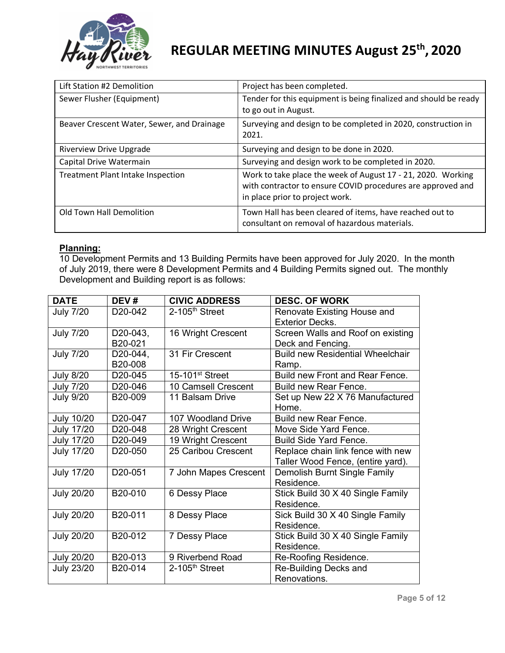

| Lift Station #2 Demolition                 | Project has been completed.                                                                                                                                    |
|--------------------------------------------|----------------------------------------------------------------------------------------------------------------------------------------------------------------|
| Sewer Flusher (Equipment)                  | Tender for this equipment is being finalized and should be ready<br>to go out in August.                                                                       |
| Beaver Crescent Water, Sewer, and Drainage | Surveying and design to be completed in 2020, construction in<br>2021.                                                                                         |
| <b>Riverview Drive Upgrade</b>             | Surveying and design to be done in 2020.                                                                                                                       |
| Capital Drive Watermain                    | Surveying and design work to be completed in 2020.                                                                                                             |
| <b>Treatment Plant Intake Inspection</b>   | Work to take place the week of August 17 - 21, 2020. Working<br>with contractor to ensure COVID procedures are approved and<br>in place prior to project work. |
| Old Town Hall Demolition                   | Town Hall has been cleared of items, have reached out to<br>consultant on removal of hazardous materials.                                                      |

### **Planning:**

10 Development Permits and 13 Building Permits have been approved for July 2020. In the month of July 2019, there were 8 Development Permits and 4 Building Permits signed out. The monthly Development and Building report is as follows:

| <b>DATE</b>       | DEV#                 | <b>CIVIC ADDRESS</b>        | <b>DESC. OF WORK</b>                    |
|-------------------|----------------------|-----------------------------|-----------------------------------------|
| <b>July 7/20</b>  | D <sub>20</sub> -042 | $2-105th$ Street            | Renovate Existing House and             |
|                   |                      |                             | <b>Exterior Decks.</b>                  |
| <b>July 7/20</b>  | D20-043,             | 16 Wright Crescent          | Screen Walls and Roof on existing       |
|                   | B20-021              |                             | Deck and Fencing.                       |
| <b>July 7/20</b>  | D20-044,             | 31 Fir Crescent             | <b>Build new Residential Wheelchair</b> |
|                   | B20-008              |                             | Ramp.                                   |
| <b>July 8/20</b>  | D20-045              | 15-101 <sup>st</sup> Street | Build new Front and Rear Fence.         |
| <b>July 7/20</b>  | D <sub>20</sub> -046 | 10 Camsell Crescent         | Build new Rear Fence.                   |
| July 9/20         | B <sub>20</sub> -009 | 11 Balsam Drive             | Set up New 22 X 76 Manufactured         |
|                   |                      |                             | Home.                                   |
| <b>July 10/20</b> | D <sub>20</sub> -047 | 107 Woodland Drive          | Build new Rear Fence.                   |
| <b>July 17/20</b> | D <sub>20</sub> -048 | 28 Wright Crescent          | Move Side Yard Fence.                   |
| <b>July 17/20</b> | D20-049              | 19 Wright Crescent          | <b>Build Side Yard Fence.</b>           |
| <b>July 17/20</b> | D <sub>20</sub> -050 | 25 Caribou Crescent         | Replace chain link fence with new       |
|                   |                      |                             | Taller Wood Fence, (entire yard).       |
| <b>July 17/20</b> | D20-051              | 7 John Mapes Crescent       | Demolish Burnt Single Family            |
|                   |                      |                             | Residence.                              |
| <b>July 20/20</b> | B20-010              | 6 Dessy Place               | Stick Build 30 X 40 Single Family       |
|                   |                      |                             | Residence.                              |
| <b>July 20/20</b> | B20-011              | 8 Dessy Place               | Sick Build 30 X 40 Single Family        |
|                   |                      |                             | Residence.                              |
| <b>July 20/20</b> | B20-012              | 7 Dessy Place               | Stick Build 30 X 40 Single Family       |
|                   |                      |                             | Residence.                              |
| <b>July 20/20</b> | B20-013              | 9 Riverbend Road            | Re-Roofing Residence.                   |
| <b>July 23/20</b> | B20-014              | $2-105th$ Street            | Re-Building Decks and                   |
|                   |                      |                             | Renovations.                            |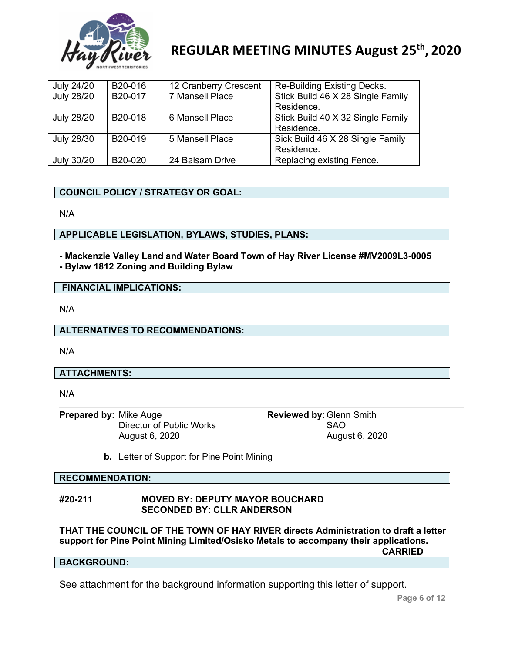

| July 24/20        | B20-016 | 12 Cranberry Crescent | Re-Building Existing Decks.       |
|-------------------|---------|-----------------------|-----------------------------------|
| <b>July 28/20</b> | B20-017 | 7 Mansell Place       | Stick Build 46 X 28 Single Family |
|                   |         |                       | Residence.                        |
| <b>July 28/20</b> | B20-018 | 6 Mansell Place       | Stick Build 40 X 32 Single Family |
|                   |         |                       | Residence.                        |
| July 28/30        | B20-019 | 5 Mansell Place       | Sick Build 46 X 28 Single Family  |
|                   |         |                       | Residence.                        |
| July 30/20        | B20-020 | 24 Balsam Drive       | Replacing existing Fence.         |

## **COUNCIL POLICY / STRATEGY OR GOAL:**

N/A

### **APPLICABLE LEGISLATION, BYLAWS, STUDIES, PLANS:**

**- Mackenzie Valley Land and Water Board Town of Hay River License #MV2009L3-0005 - Bylaw 1812 Zoning and Building Bylaw**

#### **FINANCIAL IMPLICATIONS:**

N/A

#### **ALTERNATIVES TO RECOMMENDATIONS:**

N/A

## **ATTACHMENTS:**

N/A

**Prepared by:** Mike Auge **Reviewed by:** Glenn Smith **Prepared by:** Clenn Smith **Director of Public Works** Director of Public Works

August 6, 2020 August 6, 2020

**b.** Letter of Support for Pine Point Mining

## **RECOMMENDATION:**

## **#20-211 MOVED BY: DEPUTY MAYOR BOUCHARD SECONDED BY: CLLR ANDERSON**

**THAT THE COUNCIL OF THE TOWN OF HAY RIVER directs Administration to draft a letter support for Pine Point Mining Limited/Osisko Metals to accompany their applications. CARRIED**

## **BACKGROUND:**

See attachment for the background information supporting this letter of support.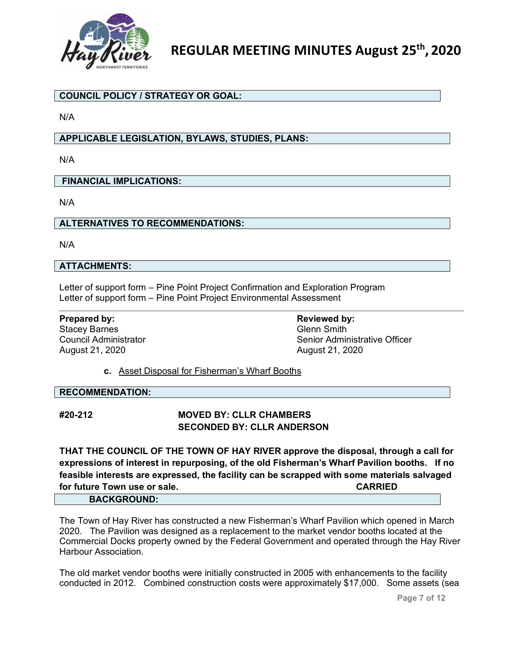

## **COUNCIL POLICY / STRATEGY OR GOAL:**

N/A

## **APPLICABLE LEGISLATION, BYLAWS, STUDIES, PLANS:**

N/A

#### **FINANCIAL IMPLICATIONS:**

N/A

### **ALTERNATIVES TO RECOMMENDATIONS:**

N/A

### **ATTACHMENTS:**

Letter of support form – Pine Point Project Confirmation and Exploration Program Letter of support form – Pine Point Project Environmental Assessment

**Prepared by: Reviewed by: Reviewed by: Reviewed by: Reviewed by: Reviewed by: Reviewed by: Reviewed by: Reviewed by: Reviewed by: Reviewed by: Reviewed by: Reviewed by: Reviewed by: Reviewed by** Stacey Barnes August 21, 2020 August 21, 2020

Council Administrator Senior Administrative Officer

**c.** Asset Disposal for Fisherman's Wharf Booths

#### **RECOMMENDATION:**

## **#20-212 MOVED BY: CLLR CHAMBERS SECONDED BY: CLLR ANDERSON**

**THAT THE COUNCIL OF THE TOWN OF HAY RIVER approve the disposal, through a call for expressions of interest in repurposing, of the old Fisherman's Wharf Pavilion booths. If no feasible interests are expressed, the facility can be scrapped with some materials salvaged for future Town use or sale. CARRIED BACKGROUND:**

The Town of Hay River has constructed a new Fisherman's Wharf Pavilion which opened in March 2020. The Pavilion was designed as a replacement to the market vendor booths located at the Commercial Docks property owned by the Federal Government and operated through the Hay River Harbour Association.

The old market vendor booths were initially constructed in 2005 with enhancements to the facility conducted in 2012. Combined construction costs were approximately \$17,000. Some assets (sea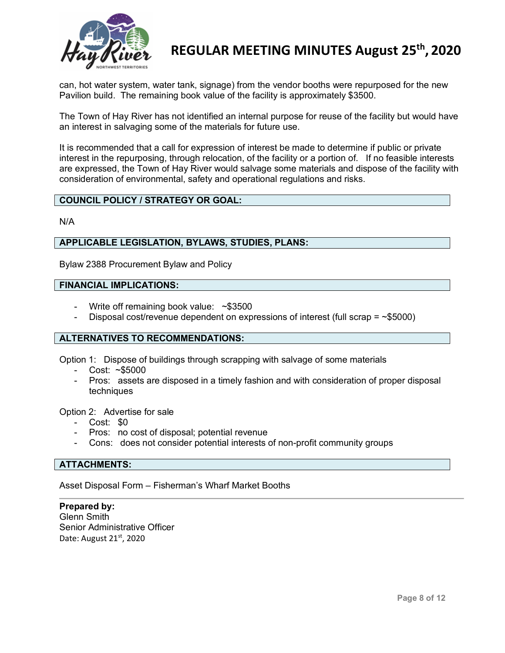

can, hot water system, water tank, signage) from the vendor booths were repurposed for the new Pavilion build. The remaining book value of the facility is approximately \$3500.

The Town of Hay River has not identified an internal purpose for reuse of the facility but would have an interest in salvaging some of the materials for future use.

It is recommended that a call for expression of interest be made to determine if public or private interest in the repurposing, through relocation, of the facility or a portion of. If no feasible interests are expressed, the Town of Hay River would salvage some materials and dispose of the facility with consideration of environmental, safety and operational regulations and risks.

## **COUNCIL POLICY / STRATEGY OR GOAL:**

N/A

#### **APPLICABLE LEGISLATION, BYLAWS, STUDIES, PLANS:**

Bylaw 2388 Procurement Bylaw and Policy

### **FINANCIAL IMPLICATIONS:**

- Write off remaining book value:  $~\sim$ \$3500
- Disposal cost/revenue dependent on expressions of interest (full scrap =  $\sim$ \$5000)

#### **ALTERNATIVES TO RECOMMENDATIONS:**

Option 1: Dispose of buildings through scrapping with salvage of some materials

- Cost: ~\$5000
- Pros: assets are disposed in a timely fashion and with consideration of proper disposal techniques

Option 2: Advertise for sale

- Cost: \$0
- Pros: no cost of disposal; potential revenue
- Cons: does not consider potential interests of non-profit community groups

#### **ATTACHMENTS:**

Asset Disposal Form – Fisherman's Wharf Market Booths

**Prepared by:** Glenn Smith Senior Administrative Officer Date: August 21<sup>st</sup>, 2020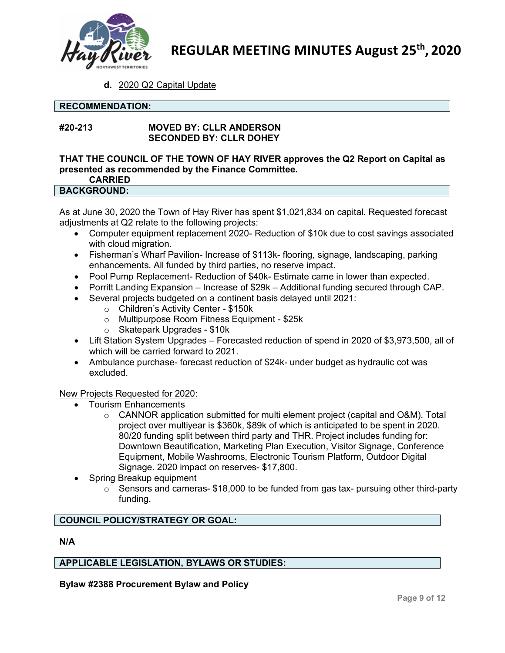

**d.** 2020 Q2 Capital Update

### **RECOMMENDATION:**

## **#20-213 MOVED BY: CLLR ANDERSON SECONDED BY: CLLR DOHEY**

## **THAT THE COUNCIL OF THE TOWN OF HAY RIVER approves the Q2 Report on Capital as presented as recommended by the Finance Committee.**

## **CARRIED**

## **BACKGROUND:**

As at June 30, 2020 the Town of Hay River has spent \$1,021,834 on capital. Requested forecast adjustments at Q2 relate to the following projects:

- Computer equipment replacement 2020- Reduction of \$10k due to cost savings associated with cloud migration.
- Fisherman's Wharf Pavilion- Increase of \$113k- flooring, signage, landscaping, parking enhancements. All funded by third parties, no reserve impact.
- Pool Pump Replacement- Reduction of \$40k- Estimate came in lower than expected.
- Porritt Landing Expansion Increase of \$29k Additional funding secured through CAP.
- Several projects budgeted on a continent basis delayed until 2021:
	- o Children's Activity Center \$150k
	- o Multipurpose Room Fitness Equipment \$25k
	- o Skatepark Upgrades \$10k
- Lift Station System Upgrades Forecasted reduction of spend in 2020 of \$3,973,500, all of which will be carried forward to 2021.
- Ambulance purchase- forecast reduction of \$24k- under budget as hydraulic cot was excluded.

## New Projects Requested for 2020:

- Tourism Enhancements
	- $\circ$  CANNOR application submitted for multi element project (capital and O&M). Total project over multiyear is \$360k, \$89k of which is anticipated to be spent in 2020. 80/20 funding split between third party and THR. Project includes funding for: Downtown Beautification, Marketing Plan Execution, Visitor Signage, Conference Equipment, Mobile Washrooms, Electronic Tourism Platform, Outdoor Digital Signage. 2020 impact on reserves- \$17,800.
- Spring Breakup equipment
	- $\circ$  Sensors and cameras- \$18,000 to be funded from gas tax- pursuing other third-party funding.

## **COUNCIL POLICY/STRATEGY OR GOAL:**

#### **N/A**

## **APPLICABLE LEGISLATION, BYLAWS OR STUDIES:**

**Bylaw #2388 Procurement Bylaw and Policy**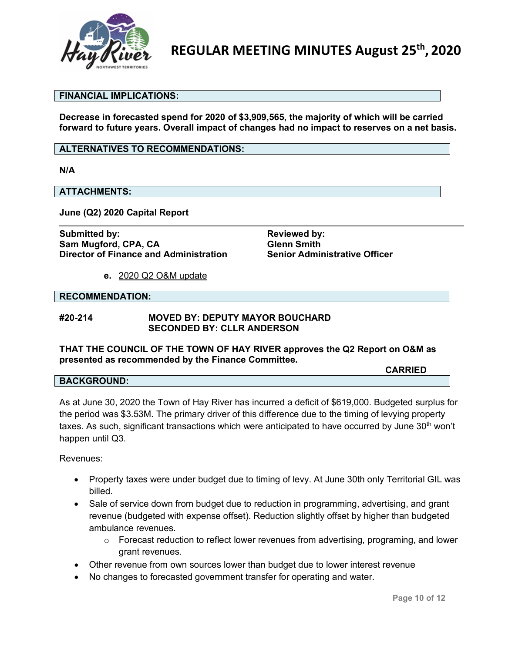

#### **FINANCIAL IMPLICATIONS:**

**Decrease in forecasted spend for 2020 of \$3,909,565, the majority of which will be carried forward to future years. Overall impact of changes had no impact to reserves on a net basis.**

#### **ALTERNATIVES TO RECOMMENDATIONS:**

**N/A**

## **ATTACHMENTS:**

**June (Q2) 2020 Capital Report**

**Submitted by: Reviewed by: Reviewed by: Sam Mugford, CPA, CA Glenn Smith Director of Finance and Administration** 

**e.** 2020 Q2 O&M update

#### **RECOMMENDATION:**

#### **#20-214 MOVED BY: DEPUTY MAYOR BOUCHARD SECONDED BY: CLLR ANDERSON**

#### **THAT THE COUNCIL OF THE TOWN OF HAY RIVER approves the Q2 Report on O&M as presented as recommended by the Finance Committee.**

**CARRIED**

#### **BACKGROUND:**

As at June 30, 2020 the Town of Hay River has incurred a deficit of \$619,000. Budgeted surplus for the period was \$3.53M. The primary driver of this difference due to the timing of levying property taxes. As such, significant transactions which were anticipated to have occurred by June  $30<sup>th</sup>$  won't happen until Q3.

Revenues:

- Property taxes were under budget due to timing of levy. At June 30th only Territorial GIL was billed.
- Sale of service down from budget due to reduction in programming, advertising, and grant revenue (budgeted with expense offset). Reduction slightly offset by higher than budgeted ambulance revenues.
	- o Forecast reduction to reflect lower revenues from advertising, programing, and lower grant revenues.
- Other revenue from own sources lower than budget due to lower interest revenue
- No changes to forecasted government transfer for operating and water.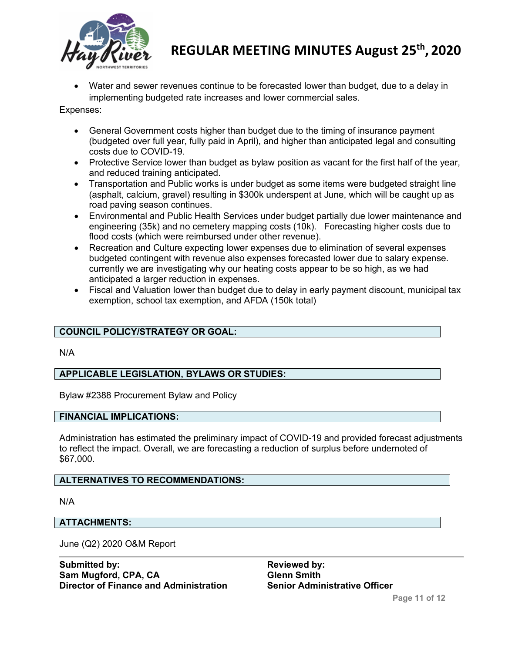

• Water and sewer revenues continue to be forecasted lower than budget, due to a delay in implementing budgeted rate increases and lower commercial sales.

Expenses:

- General Government costs higher than budget due to the timing of insurance payment (budgeted over full year, fully paid in April), and higher than anticipated legal and consulting costs due to COVID-19.
- Protective Service lower than budget as bylaw position as vacant for the first half of the year, and reduced training anticipated.
- Transportation and Public works is under budget as some items were budgeted straight line (asphalt, calcium, gravel) resulting in \$300k underspent at June, which will be caught up as road paving season continues.
- Environmental and Public Health Services under budget partially due lower maintenance and engineering (35k) and no cemetery mapping costs (10k). Forecasting higher costs due to flood costs (which were reimbursed under other revenue).
- Recreation and Culture expecting lower expenses due to elimination of several expenses budgeted contingent with revenue also expenses forecasted lower due to salary expense. currently we are investigating why our heating costs appear to be so high, as we had anticipated a larger reduction in expenses.
- Fiscal and Valuation lower than budget due to delay in early payment discount, municipal tax exemption, school tax exemption, and AFDA (150k total)

## **COUNCIL POLICY/STRATEGY OR GOAL:**

N/A

## **APPLICABLE LEGISLATION, BYLAWS OR STUDIES:**

Bylaw #2388 Procurement Bylaw and Policy

#### **FINANCIAL IMPLICATIONS:**

Administration has estimated the preliminary impact of COVID-19 and provided forecast adjustments to reflect the impact. Overall, we are forecasting a reduction of surplus before undernoted of \$67,000.

#### **ALTERNATIVES TO RECOMMENDATIONS:**

N/A

#### **ATTACHMENTS:**

June (Q2) 2020 O&M Report

**Submitted by: Reviewed by: Reviewed by: Reviewed by: Reviewed by: Reviewed by: Reviewed by: Reviewed by: Reviewed by: Reviewed by: Reviewed by: Reviewed by: Reviewed by: Reviewed by: Reviewed b Sam Mugford, CPA, CA Glenn Smith Director of Finance and Administration**